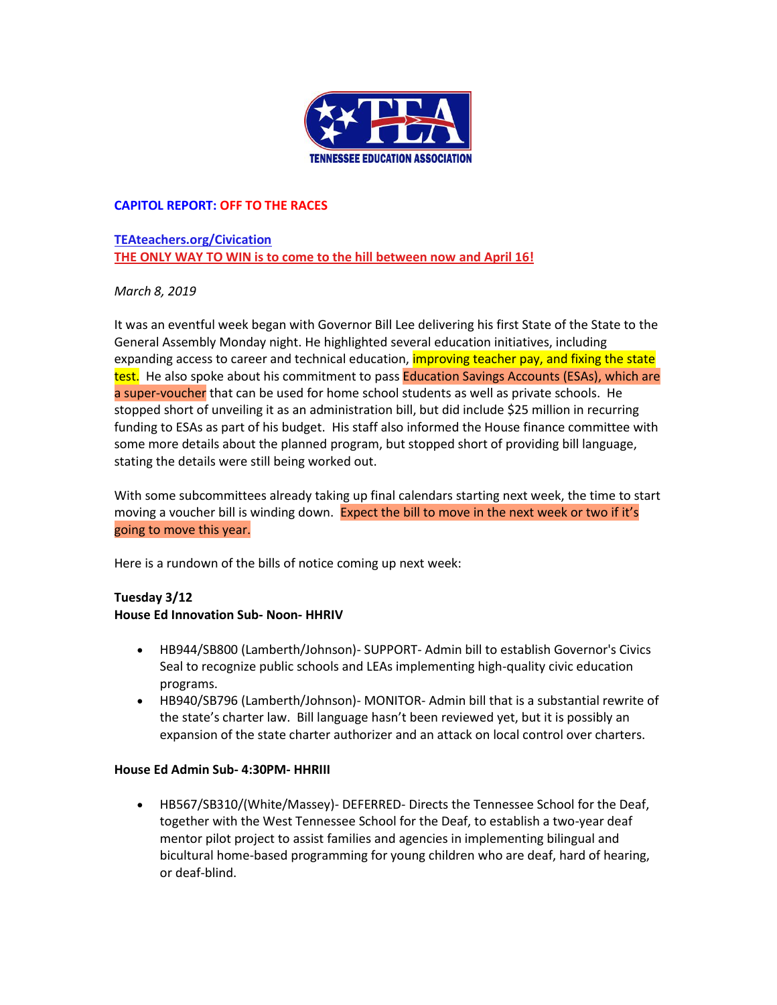

# **CAPITOL REPORT: OFF TO THE RACES**

# **[TEAteachers.org/Civication](http://teateachers.org/Civication) [THE ONLY WAY TO WIN is to come to the hill between now](http://www.teateachers.org/tea-civication-registration) and April 16!**

## *March 8, 2019*

It was an eventful week began with Governor Bill Lee delivering his first State of the State to the General Assembly Monday night. He highlighted several education initiatives, including expanding access to career and technical education, *improving teacher pay, and fixing the state* test. He also spoke about his commitment to pass **Education Savings Accounts (ESAs)**, which are a super-voucher that can be used for home school students as well as private schools. He stopped short of unveiling it as an administration bill, but did include \$25 million in recurring funding to ESAs as part of his budget. His staff also informed the House finance committee with some more details about the planned program, but stopped short of providing bill language, stating the details were still being worked out.

With some subcommittees already taking up final calendars starting next week, the time to start moving a voucher bill is winding down. Expect the bill to move in the next week or two if it's going to move this year.

Here is a rundown of the bills of notice coming up next week:

## **Tuesday 3/12**

## **House Ed Innovation Sub- Noon- HHRIV**

- HB944/SB800 (Lamberth/Johnson)- SUPPORT- Admin bill to establish Governor's Civics Seal to recognize public schools and LEAs implementing high-quality civic education programs.
- HB940/SB796 (Lamberth/Johnson)- MONITOR- Admin bill that is a substantial rewrite of the state's charter law. Bill language hasn't been reviewed yet, but it is possibly an expansion of the state charter authorizer and an attack on local control over charters.

#### **House Ed Admin Sub- 4:30PM- HHRIII**

• HB567/SB310/(White/Massey)- DEFERRED- Directs the Tennessee School for the Deaf, together with the West Tennessee School for the Deaf, to establish a two-year deaf mentor pilot project to assist families and agencies in implementing bilingual and bicultural home-based programming for young children who are deaf, hard of hearing, or deaf-blind.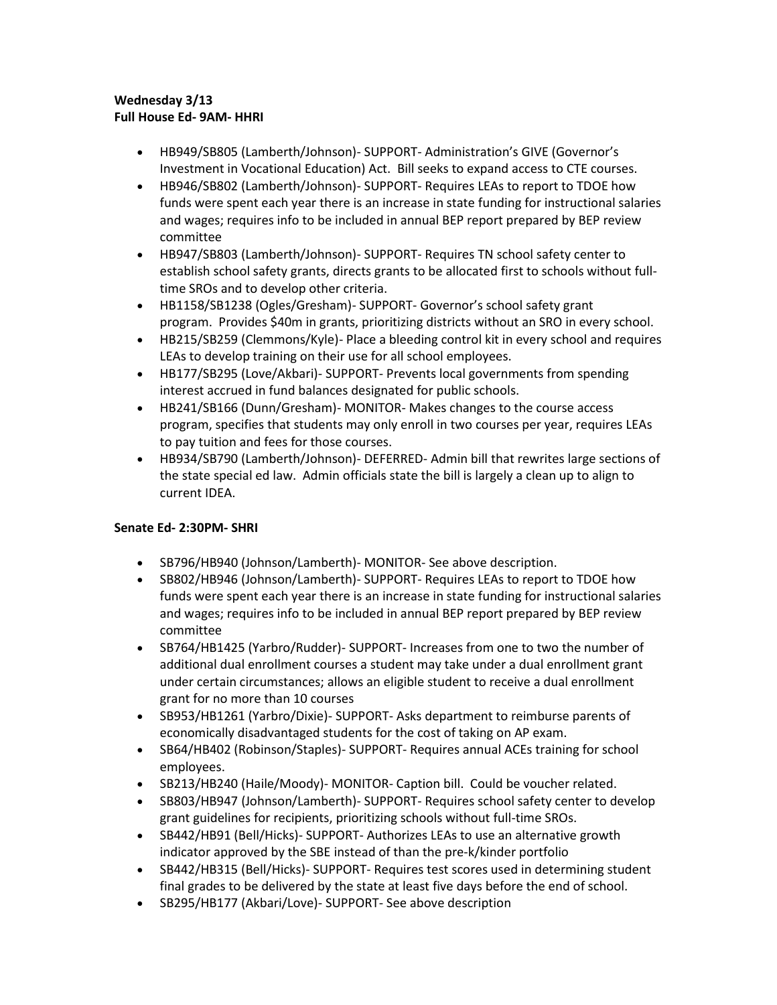# **Wednesday 3/13 Full House Ed- 9AM- HHRI**

- HB949/SB805 (Lamberth/Johnson)- SUPPORT- Administration's GIVE (Governor's Investment in Vocational Education) Act. Bill seeks to expand access to CTE courses.
- HB946/SB802 (Lamberth/Johnson)- SUPPORT- Requires LEAs to report to TDOE how funds were spent each year there is an increase in state funding for instructional salaries and wages; requires info to be included in annual BEP report prepared by BEP review committee
- HB947/SB803 (Lamberth/Johnson)- SUPPORT- Requires TN school safety center to establish school safety grants, directs grants to be allocated first to schools without fulltime SROs and to develop other criteria.
- HB1158/SB1238 (Ogles/Gresham)- SUPPORT- Governor's school safety grant program. Provides \$40m in grants, prioritizing districts without an SRO in every school.
- HB215/SB259 (Clemmons/Kyle)- Place a bleeding control kit in every school and requires LEAs to develop training on their use for all school employees.
- HB177/SB295 (Love/Akbari)- SUPPORT- Prevents local governments from spending interest accrued in fund balances designated for public schools.
- HB241/SB166 (Dunn/Gresham)- MONITOR- Makes changes to the course access program, specifies that students may only enroll in two courses per year, requires LEAs to pay tuition and fees for those courses.
- HB934/SB790 (Lamberth/Johnson)- DEFERRED- Admin bill that rewrites large sections of the state special ed law. Admin officials state the bill is largely a clean up to align to current IDEA.

# **Senate Ed- 2:30PM- SHRI**

- SB796/HB940 (Johnson/Lamberth)- MONITOR- See above description.
- SB802/HB946 (Johnson/Lamberth)- SUPPORT- Requires LEAs to report to TDOE how funds were spent each year there is an increase in state funding for instructional salaries and wages; requires info to be included in annual BEP report prepared by BEP review committee
- SB764/HB1425 (Yarbro/Rudder)- SUPPORT- Increases from one to two the number of additional dual enrollment courses a student may take under a dual enrollment grant under certain circumstances; allows an eligible student to receive a dual enrollment grant for no more than 10 courses
- SB953/HB1261 (Yarbro/Dixie)- SUPPORT- Asks department to reimburse parents of economically disadvantaged students for the cost of taking on AP exam.
- SB64/HB402 (Robinson/Staples)- SUPPORT- Requires annual ACEs training for school employees.
- SB213/HB240 (Haile/Moody)- MONITOR- Caption bill. Could be voucher related.
- SB803/HB947 (Johnson/Lamberth)- SUPPORT- Requires school safety center to develop grant guidelines for recipients, prioritizing schools without full-time SROs.
- SB442/HB91 (Bell/Hicks)- SUPPORT- Authorizes LEAs to use an alternative growth indicator approved by the SBE instead of than the pre-k/kinder portfolio
- SB442/HB315 (Bell/Hicks)- SUPPORT- Requires test scores used in determining student final grades to be delivered by the state at least five days before the end of school.
- SB295/HB177 (Akbari/Love)- SUPPORT- See above description